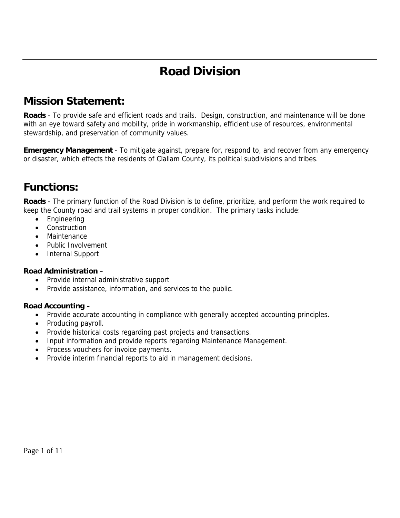# **Road Division**

### **Mission Statement:**

**Roads** - To provide safe and efficient roads and trails. Design, construction, and maintenance will be done with an eye toward safety and mobility, pride in workmanship, efficient use of resources, environmental stewardship, and preservation of community values.

**Emergency Management** - To mitigate against, prepare for, respond to, and recover from any emergency or disaster, which effects the residents of Clallam County, its political subdivisions and tribes.

### **Functions:**

**Roads** - The primary function of the Road Division is to define, prioritize, and perform the work required to keep the County road and trail systems in proper condition. The primary tasks include:

- Engineering
- **Construction**
- **Maintenance**
- Public Involvement
- Internal Support

#### **Road Administration** –

- Provide internal administrative support
- Provide assistance, information, and services to the public.

#### **Road Accounting** –

- Provide accurate accounting in compliance with generally accepted accounting principles.
- Producing payroll.
- Provide historical costs regarding past projects and transactions.
- Input information and provide reports regarding Maintenance Management.
- Process vouchers for invoice payments.
- Provide interim financial reports to aid in management decisions.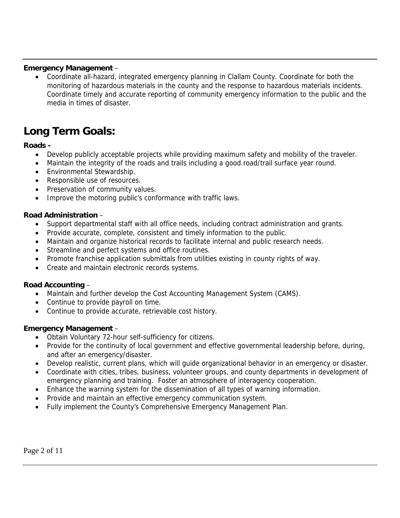#### **Emergency Management** –

• Coordinate all-hazard, integrated emergency planning in Clallam County. Coordinate for both the monitoring of hazardous materials in the county and the response to hazardous materials incidents. Coordinate timely and accurate reporting of community emergency information to the public and the media in times of disaster.

## **Long Term Goals:**

#### **Roads -**

- Develop publicly acceptable projects while providing maximum safety and mobility of the traveler.
- Maintain the integrity of the roads and trails including a good road/trail surface year round.
- Environmental Stewardship.
- Responsible use of resources.
- Preservation of community values.
- Improve the motoring public's conformance with traffic laws.

#### **Road Administration** –

- Support departmental staff with all office needs, including contract administration and grants.
- Provide accurate, complete, consistent and timely information to the public.
- Maintain and organize historical records to facilitate internal and public research needs.
- Streamline and perfect systems and office routines.
- Promote franchise application submittals from utilities existing in county rights of way.
- Create and maintain electronic records systems.

#### **Road Accounting** –

- Maintain and further develop the Cost Accounting Management System (CAMS).
- Continue to provide payroll on time.
- Continue to provide accurate, retrievable cost history.

#### **Emergency Management** –

- Obtain Voluntary 72-hour self-sufficiency for citizens.
- Provide for the continuity of local government and effective governmental leadership before, during, and after an emergency/disaster.
- Develop realistic, current plans, which will guide organizational behavior in an emergency or disaster.
- Coordinate with cities, tribes, business, volunteer groups, and county departments in development of emergency planning and training. Foster an atmosphere of interagency cooperation.
- Enhance the warning system for the dissemination of all types of warning information.
- Provide and maintain an effective emergency communication system.
- Fully implement the County's Comprehensive Emergency Management Plan.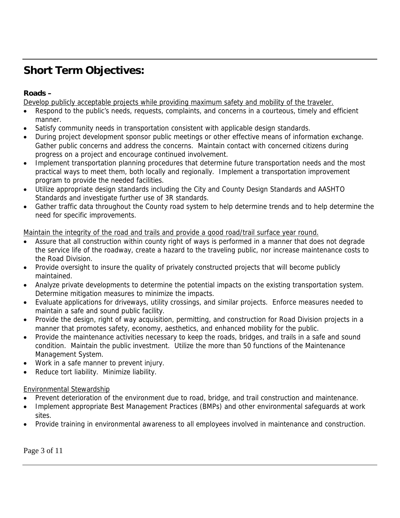## **Short Term Objectives:**

#### **Roads –**

Develop publicly acceptable projects while providing maximum safety and mobility of the traveler.

- Respond to the public's needs, requests, complaints, and concerns in a courteous, timely and efficient manner.
- Satisfy community needs in transportation consistent with applicable design standards.
- During project development sponsor public meetings or other effective means of information exchange. Gather public concerns and address the concerns. Maintain contact with concerned citizens during progress on a project and encourage continued involvement.
- Implement transportation planning procedures that determine future transportation needs and the most practical ways to meet them, both locally and regionally. Implement a transportation improvement program to provide the needed facilities.
- Utilize appropriate design standards including the City and County Design Standards and AASHTO Standards and investigate further use of 3R standards.
- Gather traffic data throughout the County road system to help determine trends and to help determine the need for specific improvements.

#### Maintain the integrity of the road and trails and provide a good road/trail surface year round.

- Assure that all construction within county right of ways is performed in a manner that does not degrade the service life of the roadway, create a hazard to the traveling public, nor increase maintenance costs to the Road Division.
- Provide oversight to insure the quality of privately constructed projects that will become publicly maintained.
- Analyze private developments to determine the potential impacts on the existing transportation system. Determine mitigation measures to minimize the impacts.
- Evaluate applications for driveways, utility crossings, and similar projects. Enforce measures needed to maintain a safe and sound public facility.
- Provide the design, right of way acquisition, permitting, and construction for Road Division projects in a manner that promotes safety, economy, aesthetics, and enhanced mobility for the public.
- Provide the maintenance activities necessary to keep the roads, bridges, and trails in a safe and sound condition. Maintain the public investment. Utilize the more than 50 functions of the Maintenance Management System.
- Work in a safe manner to prevent injury.
- Reduce tort liability. Minimize liability.

#### Environmental Stewardship

- Prevent deterioration of the environment due to road, bridge, and trail construction and maintenance.
- Implement appropriate Best Management Practices (BMPs) and other environmental safeguards at work sites.
- Provide training in environmental awareness to all employees involved in maintenance and construction.

Page 3 of 11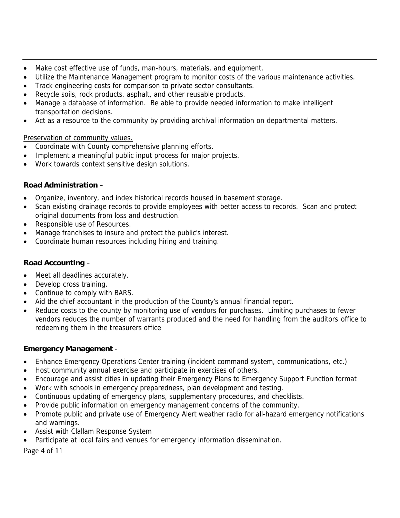- Make cost effective use of funds, man-hours, materials, and equipment.
- Utilize the Maintenance Management program to monitor costs of the various maintenance activities.
- Track engineering costs for comparison to private sector consultants.
- Recycle soils, rock products, asphalt, and other reusable products.
- Manage a database of information. Be able to provide needed information to make intelligent transportation decisions.
- Act as a resource to the community by providing archival information on departmental matters.

#### Preservation of community values.

- Coordinate with County comprehensive planning efforts.
- Implement a meaningful public input process for major projects.
- Work towards context sensitive design solutions.

#### **Road Administration** –

- Organize, inventory, and index historical records housed in basement storage.
- Scan existing drainage records to provide employees with better access to records. Scan and protect original documents from loss and destruction.
- Responsible use of Resources.
- Manage franchises to insure and protect the public's interest.
- Coordinate human resources including hiring and training.

#### **Road Accounting** –

- Meet all deadlines accurately.
- Develop cross training.
- Continue to comply with BARS.
- Aid the chief accountant in the production of the County's annual financial report.
- Reduce costs to the county by monitoring use of vendors for purchases. Limiting purchases to fewer vendors reduces the number of warrants produced and the need for handling from the auditors office to redeeming them in the treasurers office

#### **Emergency Management** -

- Enhance Emergency Operations Center training (incident command system, communications, etc.)
- Host community annual exercise and participate in exercises of others.
- Encourage and assist cities in updating their Emergency Plans to Emergency Support Function format
- Work with schools in emergency preparedness, plan development and testing.
- Continuous updating of emergency plans, supplementary procedures, and checklists.
- Provide public information on emergency management concerns of the community.
- Promote public and private use of Emergency Alert weather radio for all-hazard emergency notifications and warnings.
- Assist with Clallam Response System
- Participate at local fairs and venues for emergency information dissemination.

Page 4 of 11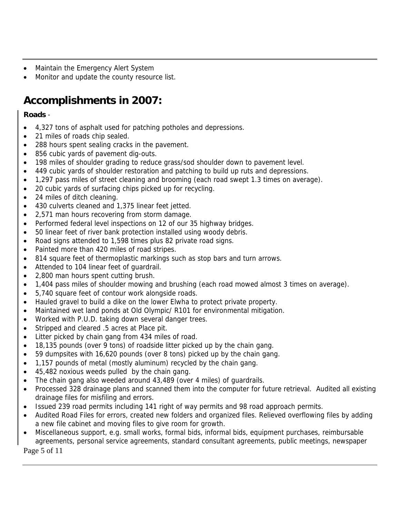- Maintain the Emergency Alert System
- Monitor and update the county resource list.

## **Accomplishments in 2007:**

#### **Roads** -

- 4,327 tons of asphalt used for patching potholes and depressions.
- 21 miles of roads chip sealed.
- 288 hours spent sealing cracks in the pavement.
- 856 cubic yards of pavement dig-outs.
- 198 miles of shoulder grading to reduce grass/sod shoulder down to pavement level.
- 449 cubic yards of shoulder restoration and patching to build up ruts and depressions.
- 1,297 pass miles of street cleaning and brooming (each road swept 1.3 times on average).
- 20 cubic yards of surfacing chips picked up for recycling.
- 24 miles of ditch cleaning.
- 430 culverts cleaned and 1,375 linear feet jetted.
- 2,571 man hours recovering from storm damage.
- Performed federal level inspections on 12 of our 35 highway bridges.
- 50 linear feet of river bank protection installed using woody debris.
- Road signs attended to 1,598 times plus 82 private road signs.
- Painted more than 420 miles of road stripes.
- 814 square feet of thermoplastic markings such as stop bars and turn arrows.
- Attended to 104 linear feet of guardrail.
- 2,800 man hours spent cutting brush.
- 1,404 pass miles of shoulder mowing and brushing (each road mowed almost 3 times on average).
- 5,740 square feet of contour work alongside roads.
- Hauled gravel to build a dike on the lower Elwha to protect private property.
- Maintained wet land ponds at Old Olympic/ R101 for environmental mitigation.
- Worked with P.U.D. taking down several danger trees.
- Stripped and cleared .5 acres at Place pit.
- Litter picked by chain gang from 434 miles of road.
- 18,135 pounds (over 9 tons) of roadside litter picked up by the chain gang.
- 59 dumpsites with 16,620 pounds (over 8 tons) picked up by the chain gang.
- 1,157 pounds of metal (mostly aluminum) recycled by the chain gang.
- 45,482 noxious weeds pulled by the chain gang.
- The chain gang also weeded around 43,489 (over 4 miles) of guardrails.
- Processed 328 drainage plans and scanned them into the computer for future retrieval. Audited all existing drainage files for misfiling and errors.
- Issued 239 road permits including 141 right of way permits and 98 road approach permits.
- Audited Road Files for errors, created new folders and organized files. Relieved overflowing files by adding a new file cabinet and moving files to give room for growth.
- Page 5 of 11 • Miscellaneous support, e.g. small works, formal bids, informal bids, equipment purchases, reimbursable agreements, personal service agreements, standard consultant agreements, public meetings, newspaper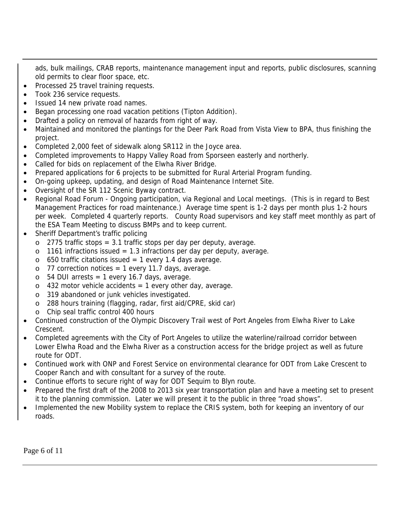ads, bulk mailings, CRAB reports, maintenance management input and reports, public disclosures, scanning old permits to clear floor space, etc.

- Processed 25 travel training requests.
- Took 236 service requests.
- Issued 14 new private road names.
- Began processing one road vacation petitions (Tipton Addition).
- Drafted a policy on removal of hazards from right of way.
- Maintained and monitored the plantings for the Deer Park Road from Vista View to BPA, thus finishing the project.
- Completed 2,000 feet of sidewalk along SR112 in the Joyce area.
- Completed improvements to Happy Valley Road from Sporseen easterly and northerly.
- Called for bids on replacement of the Elwha River Bridge.
- Prepared applications for 6 projects to be submitted for Rural Arterial Program funding.
- On-going upkeep, updating, and design of Road Maintenance Internet Site.
- Oversight of the SR 112 Scenic Byway contract.
- Regional Road Forum Ongoing participation, via Regional and Local meetings. (This is in regard to Best Management Practices for road maintenance.) Average time spent is 1-2 days per month plus 1-2 hours per week. Completed 4 quarterly reports. County Road supervisors and key staff meet monthly as part of the ESA Team Meeting to discuss BMPs and to keep current.
- Sheriff Department's traffic policing
	- $\circ$  2775 traffic stops = 3.1 traffic stops per day per deputy, average.
	- $\circ$  1161 infractions issued = 1.3 infractions per day per deputy, average.
	- $\circ$  650 traffic citations issued = 1 every 1.4 days average.
	- $\circ$  77 correction notices = 1 every 11.7 days, average.
	- $\circ$  54 DUI arrests = 1 every 16.7 days, average.
	- $\circ$  432 motor vehicle accidents = 1 every other day, average.
	- o 319 abandoned or junk vehicles investigated.
	- o 288 hours training (flagging, radar, first aid/CPRE, skid car)
	- o Chip seal traffic control 400 hours
- Continued construction of the Olympic Discovery Trail west of Port Angeles from Elwha River to Lake Crescent.
- Completed agreements with the City of Port Angeles to utilize the waterline/railroad corridor between Lower Elwha Road and the Elwha River as a construction access for the bridge project as well as future route for ODT.
- Continued work with ONP and Forest Service on environmental clearance for ODT from Lake Crescent to Cooper Ranch and with consultant for a survey of the route.
- Continue efforts to secure right of way for ODT Sequim to Blyn route.
- Prepared the first draft of the 2008 to 2013 six year transportation plan and have a meeting set to present it to the planning commission. Later we will present it to the public in three "road shows".
- Implemented the new Mobility system to replace the CRIS system, both for keeping an inventory of our roads.

Page 6 of 11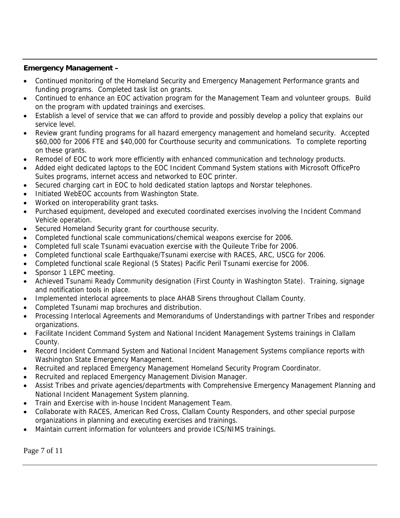#### **Emergency Management –**

- Continued monitoring of the Homeland Security and Emergency Management Performance grants and funding programs. Completed task list on grants.
- Continued to enhance an EOC activation program for the Management Team and volunteer groups. Build on the program with updated trainings and exercises.
- Establish a level of service that we can afford to provide and possibly develop a policy that explains our service level.
- Review grant funding programs for all hazard emergency management and homeland security. Accepted \$60,000 for 2006 FTE and \$40,000 for Courthouse security and communications. To complete reporting on these grants.
- Remodel of EOC to work more efficiently with enhanced communication and technology products.
- Added eight dedicated laptops to the EOC Incident Command System stations with Microsoft OfficePro Suites programs, internet access and networked to EOC printer.
- Secured charging cart in EOC to hold dedicated station laptops and Norstar telephones.
- Initiated WebEOC accounts from Washington State.
- Worked on interoperability grant tasks.
- Purchased equipment, developed and executed coordinated exercises involving the Incident Command Vehicle operation.
- Secured Homeland Security grant for courthouse security.
- Completed functional scale communications/chemical weapons exercise for 2006.
- Completed full scale Tsunami evacuation exercise with the Quileute Tribe for 2006.
- Completed functional scale Earthquake/Tsunami exercise with RACES, ARC, USCG for 2006.
- Completed functional scale Regional (5 States) Pacific Peril Tsunami exercise for 2006.
- Sponsor 1 LEPC meeting.
- Achieved Tsunami Ready Community designation (First County in Washington State). Training, signage and notification tools in place.
- Implemented interlocal agreements to place AHAB Sirens throughout Clallam County.
- Completed Tsunami map brochures and distribution.
- Processing Interlocal Agreements and Memorandums of Understandings with partner Tribes and responder organizations.
- Facilitate Incident Command System and National Incident Management Systems trainings in Clallam County.
- Record Incident Command System and National Incident Management Systems compliance reports with Washington State Emergency Management.
- Recruited and replaced Emergency Management Homeland Security Program Coordinator.
- Recruited and replaced Emergency Management Division Manager.
- Assist Tribes and private agencies/departments with Comprehensive Emergency Management Planning and National Incident Management System planning.
- Train and Exercise with in-house Incident Management Team.
- Collaborate with RACES, American Red Cross, Clallam County Responders, and other special purpose organizations in planning and executing exercises and trainings.
- Maintain current information for volunteers and provide ICS/NIMS trainings.

Page 7 of 11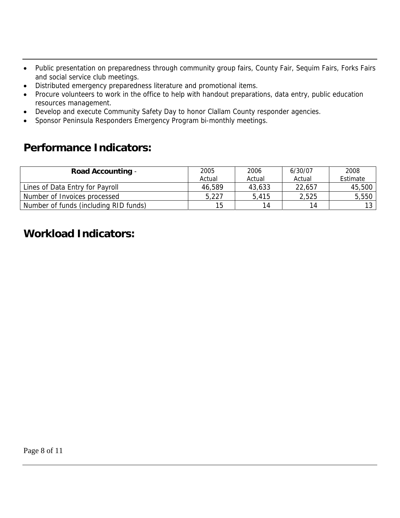- Public presentation on preparedness through community group fairs, County Fair, Sequim Fairs, Forks Fairs and social service club meetings.
- Distributed emergency preparedness literature and promotional items.
- Procure volunteers to work in the office to help with handout preparations, data entry, public education resources management.
- Develop and execute Community Safety Day to honor Clallam County responder agencies.
- Sponsor Peninsula Responders Emergency Program bi-monthly meetings.

### **Performance Indicators:**

| <b>Road Accounting -</b>              | 2005   | 2006   | 6/30/07 | 2008     |
|---------------------------------------|--------|--------|---------|----------|
|                                       | Actual | Actual | Actual  | Estimate |
| Lines of Data Entry for Payroll       | 46,589 | 43,633 | 22,657  | 45,500   |
| Number of Invoices processed          | 5,227  | 5,415  | 2,525   | 5,550    |
| Number of funds (including RID funds) | 15     | 14     | 14      | 12 I     |

### **Workload Indicators:**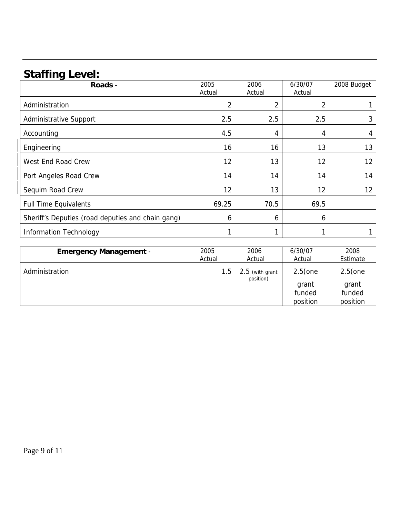## **Staffing Level:**

| Roads -                                           | 2005<br>Actual | 2006<br>Actual | 6/30/07<br>Actual | 2008 Budget |
|---------------------------------------------------|----------------|----------------|-------------------|-------------|
| Administration                                    | $\overline{2}$ | 2              | 2                 |             |
| <b>Administrative Support</b>                     | 2.5            | 2.5            | 2.5               | 3           |
| Accounting                                        | 4.5            | 4              | 4                 | 4           |
| Engineering                                       | 16             | 16             | 13                | 13          |
| West End Road Crew                                | 12             | 13             | 12                | 12          |
| Port Angeles Road Crew                            | 14             | 14             | 14                | 14          |
| Sequim Road Crew                                  | 12             | 13             | 12                | 12          |
| <b>Full Time Equivalents</b>                      | 69.25          | 70.5           | 69.5              |             |
| Sheriff's Deputies (road deputies and chain gang) | 6              | 6              | 6                 |             |
| <b>Information Technology</b>                     |                |                |                   |             |

| <b>Emergency Management -</b> | 2005   | 2006                         | 6/30/07                                   | 2008                                      |
|-------------------------------|--------|------------------------------|-------------------------------------------|-------------------------------------------|
|                               | Actual | Actual                       | Actual                                    | Estimate                                  |
| Administration                | 1.5    | 2.5 (with grant<br>position) | $2.5$ (one<br>grant<br>funded<br>position | $2.5$ (one<br>grant<br>funded<br>position |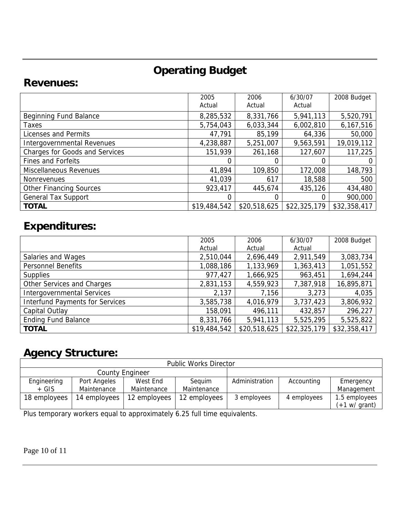## **Operating Budget**

### **Revenues:**

|                                       | 2005<br>Actual | 2006<br>Actual | 6/30/07<br>Actual | 2008 Budget  |
|---------------------------------------|----------------|----------------|-------------------|--------------|
| Beginning Fund Balance                | 8,285,532      | 8,331,766      | 5,941,113         | 5,520,791    |
| Taxes                                 | 5,754,043      | 6,033,344      | 6,002,810         | 6,167,516    |
| Licenses and Permits                  | 47,791         | 85,199         | 64,336            | 50,000       |
| Intergovernmental Revenues            | 4,238,887      | 5,251,007      | 9,563,591         | 19,019,112   |
| <b>Charges for Goods and Services</b> | 151,939        | 261,168        | 127,607           | 117,225      |
| <b>Fines and Forfeits</b>             |                |                |                   |              |
| Miscellaneous Revenues                | 41,894         | 109,850        | 172,008           | 148,793      |
| <b>Nonrevenues</b>                    | 41,039         | 617            | 18,588            | 500          |
| <b>Other Financing Sources</b>        | 923,417        | 445,674        | 435,126           | 434,480      |
| <b>General Tax Support</b>            |                |                |                   | 900,000      |
| <b>TOTAL</b>                          | \$19,484,542   | \$20,518,625   | \$22,325,179      | \$32,358,417 |

## **Expenditures:**

|                                        | 2005         | 2006         | 6/30/07      | 2008 Budget  |
|----------------------------------------|--------------|--------------|--------------|--------------|
|                                        | Actual       | Actual       | Actual       |              |
| Salaries and Wages                     | 2,510,044    | 2,696,449    | 2,911,549    | 3,083,734    |
| <b>Personnel Benefits</b>              | 1,088,186    | 1,133,969    | 1,363,413    | 1,051,552    |
| <b>Supplies</b>                        | 977,427      | 1,666,925    | 963,451      | 1,694,244    |
| Other Services and Charges             | 2,831,153    | 4,559,923    | 7,387,918    | 16,895,871   |
| <b>Intergovernmental Services</b>      | 2,137        | 7,156        | 3,273        | 4,035        |
| <b>Interfund Payments for Services</b> | 3,585,738    | 4,016,979    | 3,737,423    | 3,806,932    |
| Capital Outlay                         | 158,091      | 496,111      | 432,857      | 296,227      |
| <b>Ending Fund Balance</b>             | 8,331,766    | 5,941,113    | 5,525,295    | 5,525,822    |
| <b>TOTAL</b>                           | \$19,484,542 | \$20,518,625 | \$22,325,179 | \$32,358,417 |

## **Agency Structure:**

| <b>Public Works Director</b> |              |              |              |                |             |               |
|------------------------------|--------------|--------------|--------------|----------------|-------------|---------------|
| <b>County Engineer</b>       |              |              |              |                |             |               |
| Engineering                  | Port Angeles | West End     | Seauim       | Administration | Accounting  | Emergency     |
| $+$ GIS                      | Maintenance  | Maintenance  | Maintenance  |                |             | Management    |
| 18 employees                 | 14 employees | 12 employees | 12 employees | 3 employees    | 4 employees | 1.5 employees |
|                              |              |              |              |                |             | (+1 w/ grant) |

Plus temporary workers equal to approximately 6.25 full time equivalents.